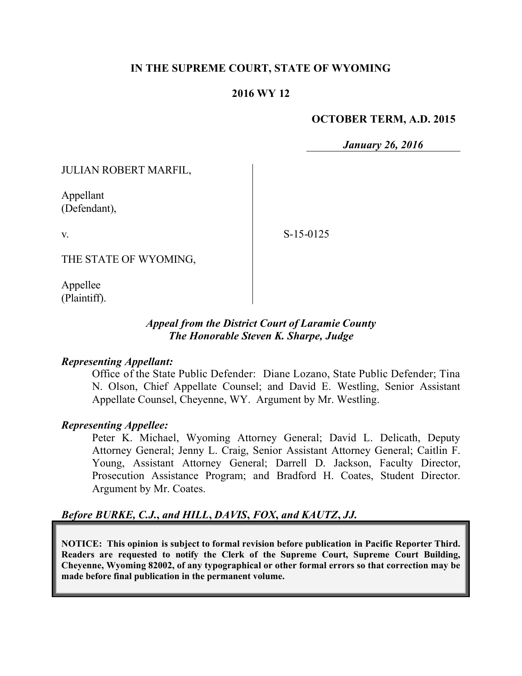## **IN THE SUPREME COURT, STATE OF WYOMING**

### **2016 WY 12**

### **OCTOBER TERM, A.D. 2015**

*January 26, 2016*

JULIAN ROBERT MARFIL,

Appellant (Defendant),

v.

S-15-0125

THE STATE OF WYOMING,

Appellee (Plaintiff).

### *Appeal from the District Court of Laramie County The Honorable Steven K. Sharpe, Judge*

### *Representing Appellant:*

Office of the State Public Defender: Diane Lozano, State Public Defender; Tina N. Olson, Chief Appellate Counsel; and David E. Westling, Senior Assistant Appellate Counsel, Cheyenne, WY. Argument by Mr. Westling.

### *Representing Appellee:*

Peter K. Michael, Wyoming Attorney General; David L. Delicath, Deputy Attorney General; Jenny L. Craig, Senior Assistant Attorney General; Caitlin F. Young, Assistant Attorney General; Darrell D. Jackson, Faculty Director, Prosecution Assistance Program; and Bradford H. Coates, Student Director. Argument by Mr. Coates.

## *Before BURKE, C.J.***,** *and HILL***,** *DAVIS***,** *FOX***,** *and KAUTZ***,** *JJ.*

**NOTICE: This opinion is subject to formal revision before publication in Pacific Reporter Third. Readers are requested to notify the Clerk of the Supreme Court, Supreme Court Building, Cheyenne, Wyoming 82002, of any typographical or other formal errors so that correction may be made before final publication in the permanent volume.**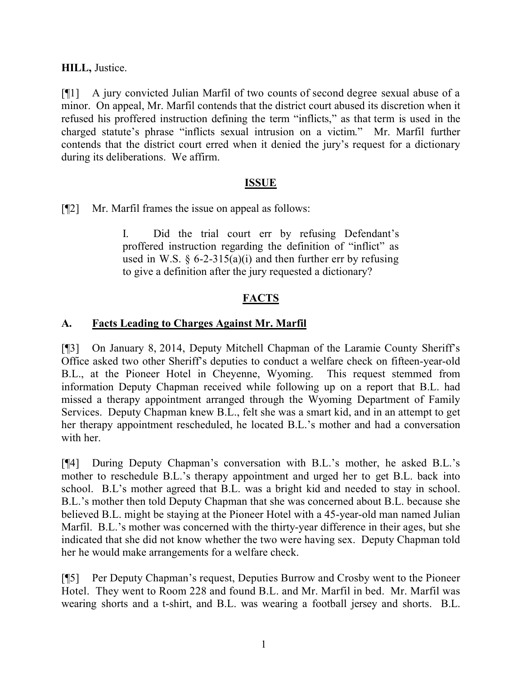## **HILL,** Justice.

[¶1] A jury convicted Julian Marfil of two counts of second degree sexual abuse of a minor. On appeal, Mr. Marfil contends that the district court abused its discretion when it refused his proffered instruction defining the term "inflicts," as that term is used in the charged statute's phrase "inflicts sexual intrusion on a victim." Mr. Marfil further contends that the district court erred when it denied the jury's request for a dictionary during its deliberations. We affirm.

## **ISSUE**

[¶2] Mr. Marfil frames the issue on appeal as follows:

I. Did the trial court err by refusing Defendant's proffered instruction regarding the definition of "inflict" as used in W.S.  $\frac{6}{2}$ -315(a)(i) and then further err by refusing to give a definition after the jury requested a dictionary?

# **FACTS**

## **A. Facts Leading to Charges Against Mr. Marfil**

[¶3] On January 8, 2014, Deputy Mitchell Chapman of the Laramie County Sheriff's Office asked two other Sheriff's deputies to conduct a welfare check on fifteen-year-old B.L., at the Pioneer Hotel in Cheyenne, Wyoming. This request stemmed from information Deputy Chapman received while following up on a report that B.L. had missed a therapy appointment arranged through the Wyoming Department of Family Services. Deputy Chapman knew B.L., felt she was a smart kid, and in an attempt to get her therapy appointment rescheduled, he located B.L.'s mother and had a conversation with her.

[¶4] During Deputy Chapman's conversation with B.L.'s mother, he asked B.L.'s mother to reschedule B.L.'s therapy appointment and urged her to get B.L. back into school. B.L's mother agreed that B.L. was a bright kid and needed to stay in school. B.L.'s mother then told Deputy Chapman that she was concerned about B.L. because she believed B.L. might be staying at the Pioneer Hotel with a 45-year-old man named Julian Marfil. B.L.'s mother was concerned with the thirty-year difference in their ages, but she indicated that she did not know whether the two were having sex. Deputy Chapman told her he would make arrangements for a welfare check.

[¶5] Per Deputy Chapman's request, Deputies Burrow and Crosby went to the Pioneer Hotel. They went to Room 228 and found B.L. and Mr. Marfil in bed. Mr. Marfil was wearing shorts and a t-shirt, and B.L. was wearing a football jersey and shorts. B.L.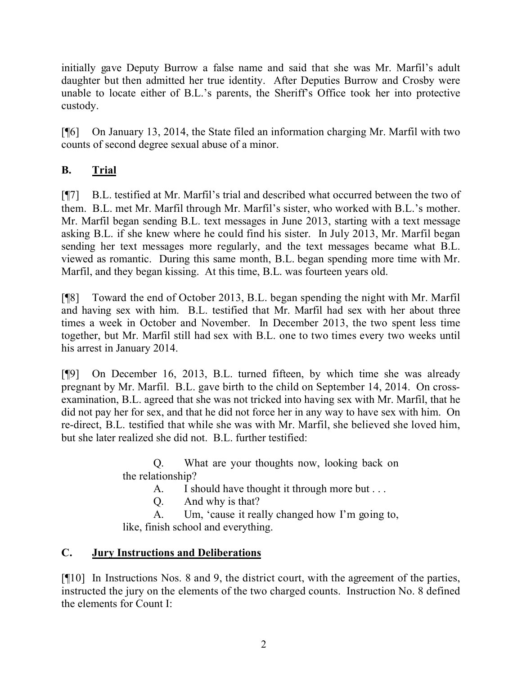initially gave Deputy Burrow a false name and said that she was Mr. Marfil's adult daughter but then admitted her true identity. After Deputies Burrow and Crosby were unable to locate either of B.L.'s parents, the Sheriff's Office took her into protective custody.

[¶6] On January 13, 2014, the State filed an information charging Mr. Marfil with two counts of second degree sexual abuse of a minor.

# **B. Trial**

[¶7] B.L. testified at Mr. Marfil's trial and described what occurred between the two of them. B.L. met Mr. Marfil through Mr. Marfil's sister, who worked with B.L.'s mother. Mr. Marfil began sending B.L. text messages in June 2013, starting with a text message asking B.L. if she knew where he could find his sister. In July 2013, Mr. Marfil began sending her text messages more regularly, and the text messages became what B.L. viewed as romantic. During this same month, B.L. began spending more time with Mr. Marfil, and they began kissing. At this time, B.L. was fourteen years old.

[¶8] Toward the end of October 2013, B.L. began spending the night with Mr. Marfil and having sex with him. B.L. testified that Mr. Marfil had sex with her about three times a week in October and November. In December 2013, the two spent less time together, but Mr. Marfil still had sex with B.L. one to two times every two weeks until his arrest in January 2014.

[¶9] On December 16, 2013, B.L. turned fifteen, by which time she was already pregnant by Mr. Marfil. B.L. gave birth to the child on September 14, 2014. On crossexamination, B.L. agreed that she was not tricked into having sex with Mr. Marfil, that he did not pay her for sex, and that he did not force her in any way to have sex with him. On re-direct, B.L. testified that while she was with Mr. Marfil, she believed she loved him, but she later realized she did not. B.L. further testified:

> Q. What are your thoughts now, looking back on the relationship?

A. I should have thought it through more but . . .

Q. And why is that?

A. Um, 'cause it really changed how I'm going to, like, finish school and everything.

# **C. Jury Instructions and Deliberations**

[¶10] In Instructions Nos. 8 and 9, the district court, with the agreement of the parties, instructed the jury on the elements of the two charged counts. Instruction No. 8 defined the elements for Count I: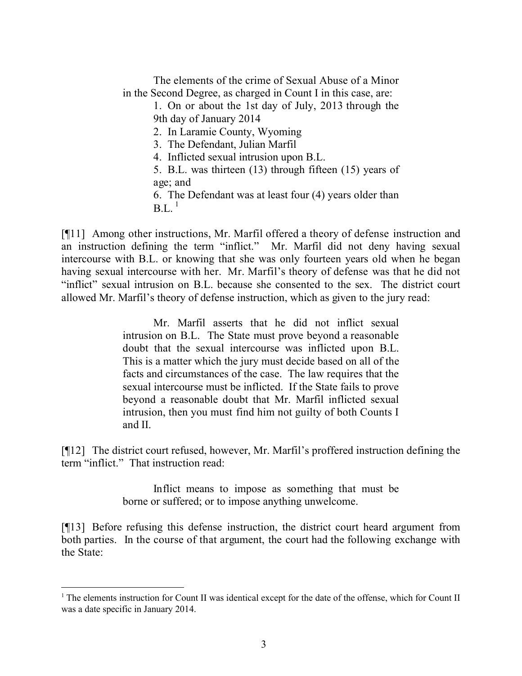The elements of the crime of Sexual Abuse of a Minor in the Second Degree, as charged in Count I in this case, are:

> 1. On or about the 1st day of July, 2013 through the 9th day of January 2014

2. In Laramie County, Wyoming

3. The Defendant, Julian Marfil

4. Inflicted sexual intrusion upon B.L.

5. B.L. was thirteen (13) through fifteen (15) years of age; and

6. The Defendant was at least four (4) years older than  $BL^{-1}$ 

[¶11] Among other instructions, Mr. Marfil offered a theory of defense instruction and an instruction defining the term "inflict." Mr. Marfil did not deny having sexual intercourse with B.L. or knowing that she was only fourteen years old when he began having sexual intercourse with her. Mr. Marfil's theory of defense was that he did not "inflict" sexual intrusion on B.L. because she consented to the sex. The district court allowed Mr. Marfil's theory of defense instruction, which as given to the jury read:

> Mr. Marfil asserts that he did not inflict sexual intrusion on B.L. The State must prove beyond a reasonable doubt that the sexual intercourse was inflicted upon B.L. This is a matter which the jury must decide based on all of the facts and circumstances of the case. The law requires that the sexual intercourse must be inflicted. If the State fails to prove beyond a reasonable doubt that Mr. Marfil inflicted sexual intrusion, then you must find him not guilty of both Counts I and II.

[¶12] The district court refused, however, Mr. Marfil's proffered instruction defining the term "inflict." That instruction read:

> Inflict means to impose as something that must be borne or suffered; or to impose anything unwelcome.

[¶13] Before refusing this defense instruction, the district court heard argument from both parties. In the course of that argument, the court had the following exchange with the State:

<sup>&</sup>lt;sup>1</sup> The elements instruction for Count II was identical except for the date of the offense, which for Count II was a date specific in January 2014.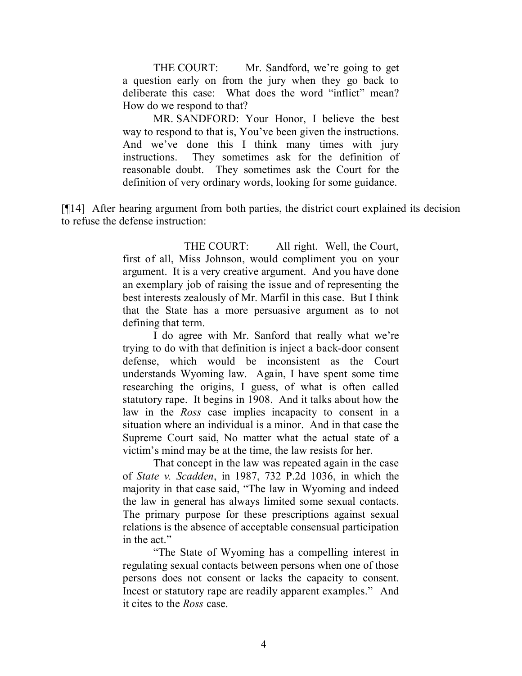THE COURT: Mr. Sandford, we're going to get a question early on from the jury when they go back to deliberate this case: What does the word "inflict" mean? How do we respond to that?

MR. SANDFORD: Your Honor, I believe the best way to respond to that is, You've been given the instructions. And we've done this I think many times with jury instructions. They sometimes ask for the definition of reasonable doubt. They sometimes ask the Court for the definition of very ordinary words, looking for some guidance.

[¶14] After hearing argument from both parties, the district court explained its decision to refuse the defense instruction:

> THE COURT: All right. Well, the Court, first of all, Miss Johnson, would compliment you on your argument. It is a very creative argument. And you have done an exemplary job of raising the issue and of representing the best interests zealously of Mr. Marfil in this case. But I think that the State has a more persuasive argument as to not defining that term.

> I do agree with Mr. Sanford that really what we're trying to do with that definition is inject a back-door consent defense, which would be inconsistent as the Court understands Wyoming law. Again, I have spent some time researching the origins, I guess, of what is often called statutory rape. It begins in 1908. And it talks about how the law in the *Ross* case implies incapacity to consent in a situation where an individual is a minor. And in that case the Supreme Court said, No matter what the actual state of a victim's mind may be at the time, the law resists for her.

> That concept in the law was repeated again in the case of *State v. Scadden*, in 1987, 732 P.2d 1036, in which the majority in that case said, "The law in Wyoming and indeed the law in general has always limited some sexual contacts. The primary purpose for these prescriptions against sexual relations is the absence of acceptable consensual participation in the act."

> "The State of Wyoming has a compelling interest in regulating sexual contacts between persons when one of those persons does not consent or lacks the capacity to consent. Incest or statutory rape are readily apparent examples." And it cites to the *Ross* case.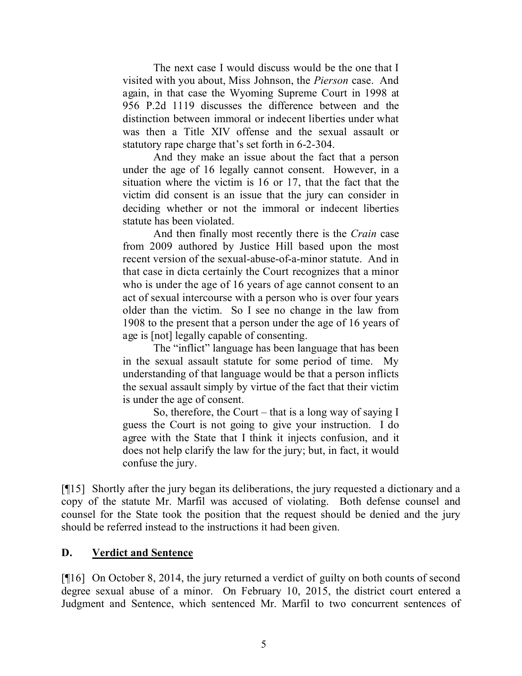The next case I would discuss would be the one that I visited with you about, Miss Johnson, the *Pierson* case. And again, in that case the Wyoming Supreme Court in 1998 at 956 P.2d 1119 discusses the difference between and the distinction between immoral or indecent liberties under what was then a Title XIV offense and the sexual assault or statutory rape charge that's set forth in 6-2-304.

And they make an issue about the fact that a person under the age of 16 legally cannot consent. However, in a situation where the victim is 16 or 17, that the fact that the victim did consent is an issue that the jury can consider in deciding whether or not the immoral or indecent liberties statute has been violated.

And then finally most recently there is the *Crain* case from 2009 authored by Justice Hill based upon the most recent version of the sexual-abuse-of-a-minor statute. And in that case in dicta certainly the Court recognizes that a minor who is under the age of 16 years of age cannot consent to an act of sexual intercourse with a person who is over four years older than the victim. So I see no change in the law from 1908 to the present that a person under the age of 16 years of age is [not] legally capable of consenting.

The "inflict" language has been language that has been in the sexual assault statute for some period of time. My understanding of that language would be that a person inflicts the sexual assault simply by virtue of the fact that their victim is under the age of consent.

So, therefore, the Court – that is a long way of saying I guess the Court is not going to give your instruction. I do agree with the State that I think it injects confusion, and it does not help clarify the law for the jury; but, in fact, it would confuse the jury.

[¶15] Shortly after the jury began its deliberations, the jury requested a dictionary and a copy of the statute Mr. Marfil was accused of violating. Both defense counsel and counsel for the State took the position that the request should be denied and the jury should be referred instead to the instructions it had been given.

### **D. Verdict and Sentence**

[¶16] On October 8, 2014, the jury returned a verdict of guilty on both counts of second degree sexual abuse of a minor. On February 10, 2015, the district court entered a Judgment and Sentence, which sentenced Mr. Marfil to two concurrent sentences of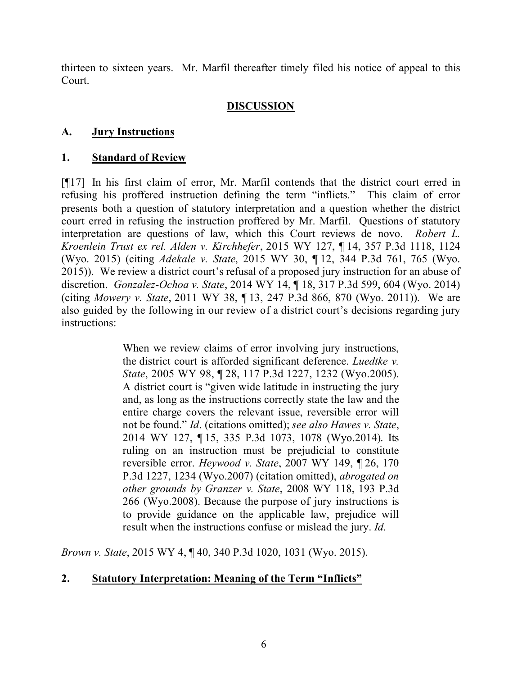thirteen to sixteen years. Mr. Marfil thereafter timely filed his notice of appeal to this Court.

# **DISCUSSION**

## **A. Jury Instructions**

## **1. Standard of Review**

[¶17] In his first claim of error, Mr. Marfil contends that the district court erred in refusing his proffered instruction defining the term "inflicts." This claim of error presents both a question of statutory interpretation and a question whether the district court erred in refusing the instruction proffered by Mr. Marfil. Questions of statutory interpretation are questions of law, which this Court reviews de novo. *Robert L. Kroenlein Trust ex rel. Alden v. Kirchhefer*, 2015 WY 127, ¶ 14, 357 P.3d 1118, 1124 (Wyo. 2015) (citing *Adekale v. State*, 2015 WY 30, ¶ 12, 344 P.3d 761, 765 (Wyo. 2015)). We review a district court's refusal of a proposed jury instruction for an abuse of discretion. *Gonzalez-Ochoa v. State*, 2014 WY 14, ¶ 18, 317 P.3d 599, 604 (Wyo. 2014) (citing *Mowery v. State*, 2011 WY 38, ¶ 13, 247 P.3d 866, 870 (Wyo. 2011)). We are also guided by the following in our review of a district court's decisions regarding jury instructions:

> When we review claims of error involving jury instructions, the district court is afforded significant deference. *Luedtke v. State*, 2005 WY 98, ¶ 28, 117 P.3d 1227, 1232 (Wyo.2005). A district court is "given wide latitude in instructing the jury and, as long as the instructions correctly state the law and the entire charge covers the relevant issue, reversible error will not be found." *Id*. (citations omitted); *see also Hawes v. State*, 2014 WY 127, ¶ 15, 335 P.3d 1073, 1078 (Wyo.2014). Its ruling on an instruction must be prejudicial to constitute reversible error. *Heywood v. State*, 2007 WY 149, ¶ 26, 170 P.3d 1227, 1234 (Wyo.2007) (citation omitted), *abrogated on other grounds by Granzer v. State*, 2008 WY 118, 193 P.3d 266 (Wyo.2008). Because the purpose of jury instructions is to provide guidance on the applicable law, prejudice will result when the instructions confuse or mislead the jury. *Id*.

*Brown v. State*, 2015 WY 4, ¶ 40, 340 P.3d 1020, 1031 (Wyo. 2015).

## **2. Statutory Interpretation: Meaning of the Term "Inflicts"**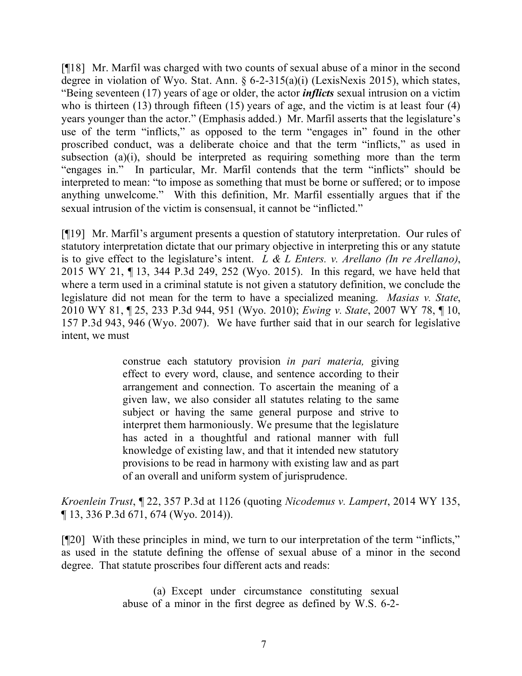[¶18] Mr. Marfil was charged with two counts of sexual abuse of a minor in the second degree in violation of Wyo. Stat. Ann. § 6-2-315(a)(i) (LexisNexis 2015), which states, "Being seventeen (17) years of age or older, the actor *inflicts* sexual intrusion on a victim who is thirteen (13) through fifteen (15) years of age, and the victim is at least four (4) years younger than the actor." (Emphasis added.) Mr. Marfil asserts that the legislature's use of the term "inflicts," as opposed to the term "engages in" found in the other proscribed conduct, was a deliberate choice and that the term "inflicts," as used in subsection (a)(i), should be interpreted as requiring something more than the term "engages in." In particular, Mr. Marfil contends that the term "inflicts" should be interpreted to mean: "to impose as something that must be borne or suffered; or to impose anything unwelcome." With this definition, Mr. Marfil essentially argues that if the sexual intrusion of the victim is consensual, it cannot be "inflicted."

[¶19] Mr. Marfil's argument presents a question of statutory interpretation. Our rules of statutory interpretation dictate that our primary objective in interpreting this or any statute is to give effect to the legislature's intent. *L & L Enters. v. Arellano (In re Arellano)*, 2015 WY 21, ¶ 13, 344 P.3d 249, 252 (Wyo. 2015). In this regard, we have held that where a term used in a criminal statute is not given a statutory definition, we conclude the legislature did not mean for the term to have a specialized meaning. *Masias v. State*, 2010 WY 81, ¶ 25, 233 P.3d 944, 951 (Wyo. 2010); *Ewing v. State*, 2007 WY 78, ¶ 10, 157 P.3d 943, 946 (Wyo. 2007). We have further said that in our search for legislative intent, we must

> construe each statutory provision *in pari materia,* giving effect to every word, clause, and sentence according to their arrangement and connection. To ascertain the meaning of a given law, we also consider all statutes relating to the same subject or having the same general purpose and strive to interpret them harmoniously. We presume that the legislature has acted in a thoughtful and rational manner with full knowledge of existing law, and that it intended new statutory provisions to be read in harmony with existing law and as part of an overall and uniform system of jurisprudence.

*Kroenlein Trust*, ¶ 22, 357 P.3d at 1126 (quoting *Nicodemus v. Lampert*, 2014 WY 135, ¶ 13, 336 P.3d 671, 674 (Wyo. 2014)).

[¶20] With these principles in mind, we turn to our interpretation of the term "inflicts," as used in the statute defining the offense of sexual abuse of a minor in the second degree. That statute proscribes four different acts and reads:

> (a) Except under circumstance constituting sexual abuse of a minor in the first degree as defined by W.S. 6-2-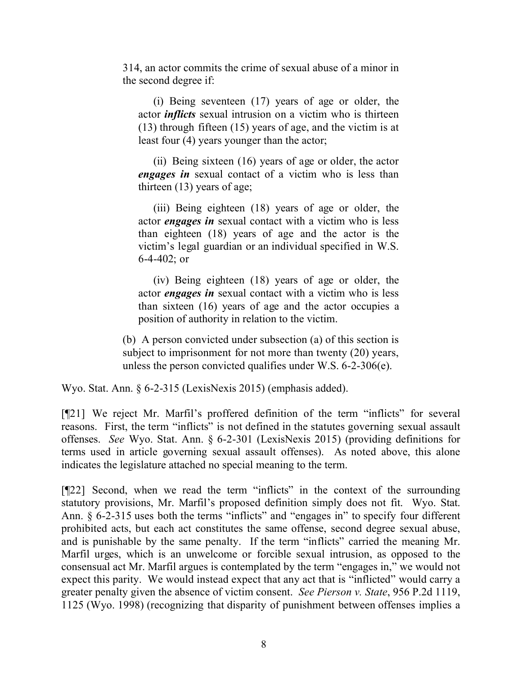314, an actor commits the crime of sexual abuse of a minor in the second degree if:

(i) Being seventeen (17) years of age or older, the actor *inflicts* sexual intrusion on a victim who is thirteen (13) through fifteen (15) years of age, and the victim is at least four (4) years younger than the actor;

(ii) Being sixteen (16) years of age or older, the actor *engages in* sexual contact of a victim who is less than thirteen (13) years of age;

(iii) Being eighteen (18) years of age or older, the actor *engages in* sexual contact with a victim who is less than eighteen (18) years of age and the actor is the victim's legal guardian or an individual specified in W.S. 6-4-402; or

(iv) Being eighteen (18) years of age or older, the actor *engages in* sexual contact with a victim who is less than sixteen (16) years of age and the actor occupies a position of authority in relation to the victim.

(b) A person convicted under subsection (a) of this section is subject to imprisonment for not more than twenty (20) years, unless the person convicted qualifies under W.S. 6-2-306(e).

Wyo. Stat. Ann. § 6-2-315 (LexisNexis 2015) (emphasis added).

[¶21] We reject Mr. Marfil's proffered definition of the term "inflicts" for several reasons. First, the term "inflicts" is not defined in the statutes governing sexual assault offenses. *See* Wyo. Stat. Ann. § 6-2-301 (LexisNexis 2015) (providing definitions for terms used in article governing sexual assault offenses). As noted above, this alone indicates the legislature attached no special meaning to the term.

[¶22] Second, when we read the term "inflicts" in the context of the surrounding statutory provisions, Mr. Marfil's proposed definition simply does not fit. Wyo. Stat. Ann. § 6-2-315 uses both the terms "inflicts" and "engages in" to specify four different prohibited acts, but each act constitutes the same offense, second degree sexual abuse, and is punishable by the same penalty. If the term "inflicts" carried the meaning Mr. Marfil urges, which is an unwelcome or forcible sexual intrusion, as opposed to the consensual act Mr. Marfil argues is contemplated by the term "engages in," we would not expect this parity. We would instead expect that any act that is "inflicted" would carry a greater penalty given the absence of victim consent. *See Pierson v. State*, 956 P.2d 1119, 1125 (Wyo. 1998) (recognizing that disparity of punishment between offenses implies a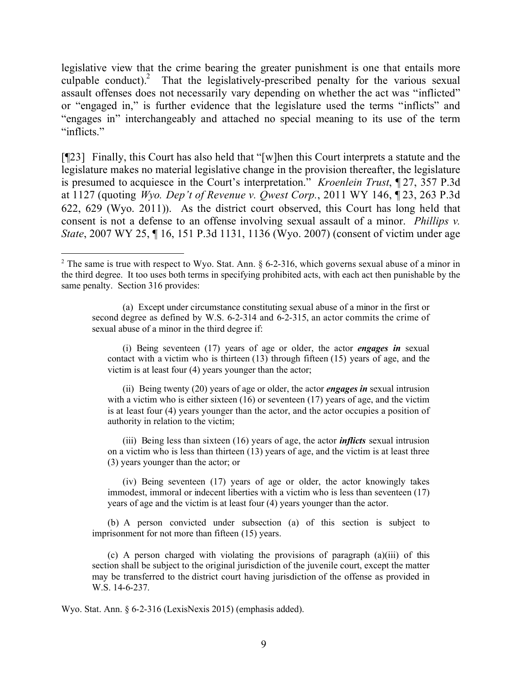legislative view that the crime bearing the greater punishment is one that entails more culpable conduct).<sup>2</sup> That the legislatively-prescribed penalty for the various sexual assault offenses does not necessarily vary depending on whether the act was "inflicted" or "engaged in," is further evidence that the legislature used the terms "inflicts" and "engages in" interchangeably and attached no special meaning to its use of the term "inflicts."

[¶23] Finally, this Court has also held that "[w]hen this Court interprets a statute and the legislature makes no material legislative change in the provision thereafter, the legislature is presumed to acquiesce in the Court's interpretation." *Kroenlein Trust*, ¶ 27, 357 P.3d at 1127 (quoting *Wyo. Dep't of Revenue v. Qwest Corp.*, 2011 WY 146, ¶ 23, 263 P.3d 622, 629 (Wyo. 2011)). As the district court observed, this Court has long held that consent is not a defense to an offense involving sexual assault of a minor. *Phillips v. State*, 2007 WY 25, 15, 151 P.3d 1131, 1136 (Wyo. 2007) (consent of victim under age

(a) Except under circumstance constituting sexual abuse of a minor in the first or second degree as defined by W.S. 6-2-314 and 6-2-315, an actor commits the crime of sexual abuse of a minor in the third degree if:

(i) Being seventeen (17) years of age or older, the actor *engages in* sexual contact with a victim who is thirteen (13) through fifteen (15) years of age, and the victim is at least four (4) years younger than the actor;

(ii) Being twenty (20) years of age or older, the actor *engages in* sexual intrusion with a victim who is either sixteen  $(16)$  or seventeen  $(17)$  years of age, and the victim is at least four (4) years younger than the actor, and the actor occupies a position of authority in relation to the victim;

(iii) Being less than sixteen (16) years of age, the actor *inflicts* sexual intrusion on a victim who is less than thirteen (13) years of age, and the victim is at least three (3) years younger than the actor; or

(iv) Being seventeen (17) years of age or older, the actor knowingly takes immodest, immoral or indecent liberties with a victim who is less than seventeen (17) years of age and the victim is at least four (4) years younger than the actor.

(b) A person convicted under subsection (a) of this section is subject to imprisonment for not more than fifteen (15) years.

(c) A person charged with violating the provisions of paragraph  $(a)(iii)$  of this section shall be subject to the original jurisdiction of the juvenile court, except the matter may be transferred to the district court having jurisdiction of the offense as provided in W.S. 14-6-237.

Wyo. Stat. Ann. § 6-2-316 (LexisNexis 2015) (emphasis added).

<sup>&</sup>lt;sup>2</sup> The same is true with respect to Wyo. Stat. Ann. § 6-2-316, which governs sexual abuse of a minor in the third degree. It too uses both terms in specifying prohibited acts, with each act then punishable by the same penalty. Section 316 provides: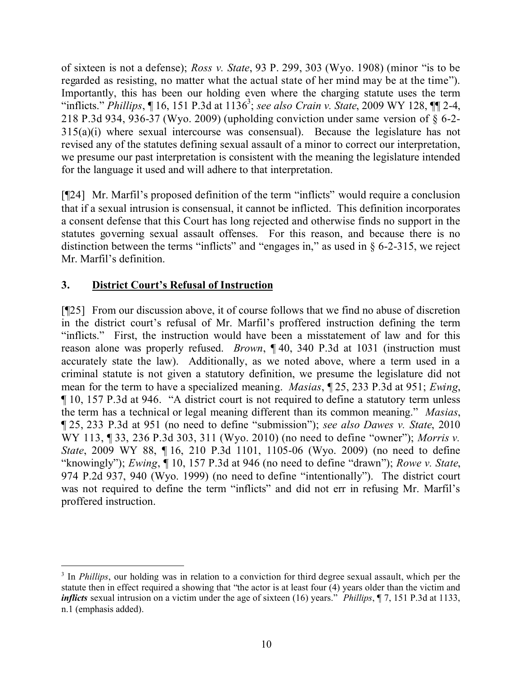of sixteen is not a defense); *Ross v. State*, 93 P. 299, 303 (Wyo. 1908) (minor "is to be regarded as resisting, no matter what the actual state of her mind may be at the time"). Importantly, this has been our holding even where the charging statute uses the term "inflicts." *Phillips*, 16, 151 P.3d at 1136<sup>3</sup>; see also *Crain v. State*, 2009 WY 128, 11 2-4, 218 P.3d 934, 936-37 (Wyo. 2009) (upholding conviction under same version of § 6-2- 315(a)(i) where sexual intercourse was consensual). Because the legislature has not revised any of the statutes defining sexual assault of a minor to correct our interpretation, we presume our past interpretation is consistent with the meaning the legislature intended for the language it used and will adhere to that interpretation.

[¶24] Mr. Marfil's proposed definition of the term "inflicts" would require a conclusion that if a sexual intrusion is consensual, it cannot be inflicted. This definition incorporates a consent defense that this Court has long rejected and otherwise finds no support in the statutes governing sexual assault offenses. For this reason, and because there is no distinction between the terms "inflicts" and "engages in," as used in § 6-2-315, we reject Mr. Marfil's definition.

# **3. District Court's Refusal of Instruction**

 $\overline{a}$ 

[¶25] From our discussion above, it of course follows that we find no abuse of discretion in the district court's refusal of Mr. Marfil's proffered instruction defining the term "inflicts." First, the instruction would have been a misstatement of law and for this reason alone was properly refused. *Brown*, ¶ 40, 340 P.3d at 1031 (instruction must accurately state the law). Additionally, as we noted above, where a term used in a criminal statute is not given a statutory definition, we presume the legislature did not mean for the term to have a specialized meaning. *Masias*, ¶ 25, 233 P.3d at 951; *Ewing*, ¶ 10, 157 P.3d at 946. "A district court is not required to define a statutory term unless the term has a technical or legal meaning different than its common meaning." *Masias*, ¶ 25, 233 P.3d at 951 (no need to define "submission"); *see also Dawes v. State*, 2010 WY 113, ¶ 33, 236 P.3d 303, 311 (Wyo. 2010) (no need to define "owner"); *Morris v. State*, 2009 WY 88, ¶ 16, 210 P.3d 1101, 1105-06 (Wyo. 2009) (no need to define "knowingly"); *Ewing*, ¶ 10, 157 P.3d at 946 (no need to define "drawn"); *Rowe v. State*, 974 P.2d 937, 940 (Wyo. 1999) (no need to define "intentionally"). The district court was not required to define the term "inflicts" and did not err in refusing Mr. Marfil's proffered instruction.

<sup>&</sup>lt;sup>3</sup> In *Phillips*, our holding was in relation to a conviction for third degree sexual assault, which per the statute then in effect required a showing that "the actor is at least four (4) years older than the victim and *inflicts* sexual intrusion on a victim under the age of sixteen (16) years." *Phillips*, ¶ 7, 151 P.3d at 1133, n.1 (emphasis added).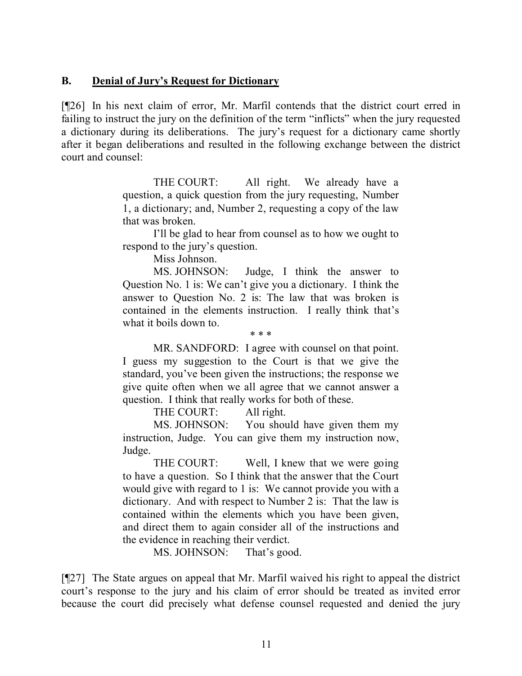### **B. Denial of Jury's Request for Dictionary**

[¶26] In his next claim of error, Mr. Marfil contends that the district court erred in failing to instruct the jury on the definition of the term "inflicts" when the jury requested a dictionary during its deliberations. The jury's request for a dictionary came shortly after it began deliberations and resulted in the following exchange between the district court and counsel:

> THE COURT: All right. We already have a question, a quick question from the jury requesting, Number 1, a dictionary; and, Number 2, requesting a copy of the law that was broken.

> I'll be glad to hear from counsel as to how we ought to respond to the jury's question.

> > Miss Johnson.

MS. JOHNSON: Judge, I think the answer to Question No. 1 is: We can't give you a dictionary. I think the answer to Question No. 2 is: The law that was broken is contained in the elements instruction. I really think that's what it boils down to.

\* \* \* MR. SANDFORD: I agree with counsel on that point. I guess my suggestion to the Court is that we give the standard, you've been given the instructions; the response we give quite often when we all agree that we cannot answer a question. I think that really works for both of these.

THE COURT: All right.

MS. JOHNSON: You should have given them my instruction, Judge. You can give them my instruction now, Judge.

THE COURT: Well, I knew that we were going to have a question. So I think that the answer that the Court would give with regard to 1 is: We cannot provide you with a dictionary. And with respect to Number 2 is: That the law is contained within the elements which you have been given, and direct them to again consider all of the instructions and the evidence in reaching their verdict.

MS. JOHNSON: That's good.

[¶27] The State argues on appeal that Mr. Marfil waived his right to appeal the district court's response to the jury and his claim of error should be treated as invited error because the court did precisely what defense counsel requested and denied the jury